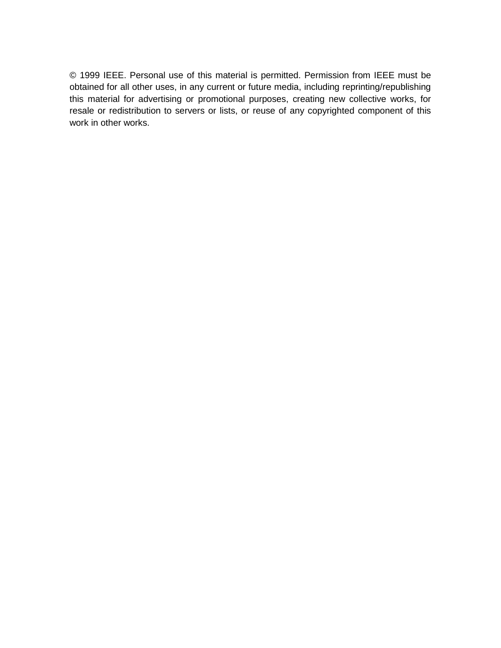© 1999 IEEE. Personal use of this material is permitted. Permission from IEEE must be obtained for all other uses, in any current or future media, including reprinting/republishing this material for advertising or promotional purposes, creating new collective works, for resale or redistribution to servers or lists, or reuse of any copyrighted component of this work in other works.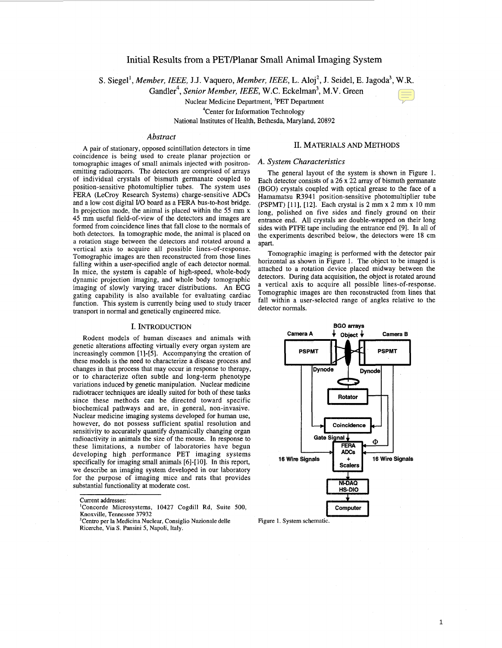# Initial Results from a PETPlanar Small Animal Imaging System

*S.* Siegel', *Member, IEEE,* J.J. Vaquero, *Member, IEEE,* L. **Aloj2,** J. Seidel, E. Jagoda3, W.R.

Gandler<sup>4</sup>, *Senior Member, IEEE*, W.C. Eckelman<sup>3</sup>, M.V. Green

Nuclear Medicine Department, 3PET Department

<sup>4</sup>Center for Information Technology

National Institutes of Health, Bethesda, Maryland, 20892

### *Abstract*

11. MATERIALS AND METHODS

A pair of stationary, opposed scintillation detectors in time coincidence is being used to create planar projection or tomographic images of small animals injected with positronemitting radiotracers. The detectors are comprised of arrays of individual crystals of bismuth germanate coupled to position-sensitive photomultiplier tubes. The system uses FERA (LeCroy Research Systems) charge-sensitive ADCs and a low cost digital **YO** board as a ERA bus-to-host bridge. In projection mode, the animal is placed within the 55 mm  $\bar{x}$ 45 mm useful field-of-view of the detectors and images are formed from coincidence lines that fall close to the normals of both detectors. In tomographic mode, the animal is placed on a rotation stage between the detectors and rotated around a vertical axis to acquire all possible lines-of-response. Tomographic images are then reconstructed from those lines falling within a user-specified angle of each detector normal. In mice, the system is capable of high-speed, whole-body dynamic projection imaging, and whole body tomographic imaging of slowly varying tracer distributions. An **ECG**  gating capability is also available for evaluating cardiac function. This system is currently being used to study tracer transport in normal and genetically engineered mice.

# I. INTRODUCTION

Rodent models of human diseases and animals with genetic alterations affecting virtually every organ system are increasingly common  $[1]$ - $[5]$ . Accompanying the creation of these models is the need to characterize a disease process and changes in that process that may occur in response to therapy, or to characterize often subtle and long-term phenotype variations induced by genetic manipulation. Nuclear medicine radiotracer techniques are ideally suited for both of these tasks since these methods can be directed toward specific biochemical pathways and are, in general, non-invasive. Nuclear medicine imaging systems developed for human use, however, do not possess sufficient spatial resolution and sensitivity to accurately quantify dynamically changing organ radioactivity in animals the size of the mouse. In response to these limitations, a number of laboratories have begun developing high performance PET imaging systems specifically for imaging small animals [6]-[ IO]. In this report, we describe an imaging system developed in our laboratory for the purpose of imaging mice and rats that provides substantial functionality at moderate cost.

Current addresses:

# *A. System Characteristics*

The general layout of the system is shown in Figure 1. Each detector consists of a 26 x *22* array of bismuth germanate (BGO) crystals coupled with optical grease to the face of a Hamamatsu R3941 position-sensitive photomultiplier tube (PSPMT) [ll], **[12].** Each crystal is **2** mm x 2 mm **x** 10 mm long, polished on five sides and finely ground on their entrance end. All crystals are double-wrapped on their long sides with **PTFE** tape including the entrance end [9]. In all of the experiments described below, the detectors were 18 cm apart.

Tomographic imaging is performed with the detector pair horizontal as shown in Figure **1.** The object to be imaged is attached to a rotation device placed midway between the detectors. During data acquisition, the object is rotated around a vertical axis to acquire all possible lines-of-response. Tomographic images are then reconstructed from lines that fall within a user-selected range of angles relative to the detector normals.



Figure 1. System schematic.

<sup>&#</sup>x27;Concorde Microsystems, 10427 Cogdill Rd, Suite 500, Knoxville, Tennessee 37932

<sup>&</sup>lt;sup>2</sup>Centro per la Medicina Nuclear, Consiglio Nazionale delle Ricerche, Via **S.** Pansini *5,* Napoli, Italy.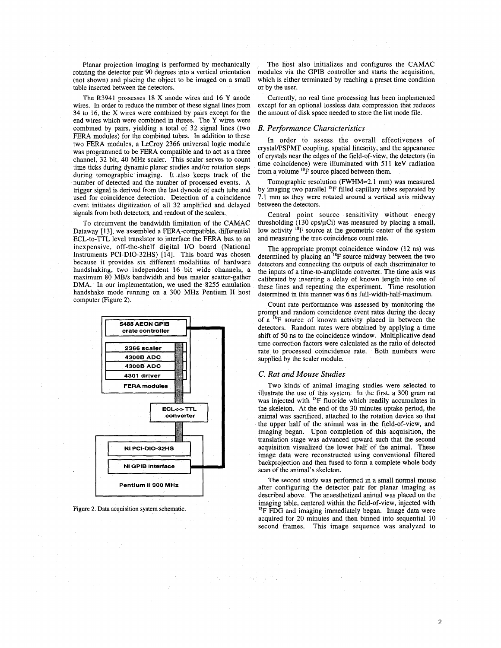Planar projection imaging is performed by mechanically rotating the detector pair 90 degrees into a vertical orientation (not shown) and placing the object to be imaged on a small table inserted between the detectors.

The R3941 possesses 18 X anode wires and 16 Y anode wires. In order to reduce the number of these signal lines from 34 to 16, the **X** wires were combined by pairs except for the end wires which were combined in threes. The **Y** wires were combined by pairs, yielding a total of 32 signal lines (two FERA modules) for the combined tubes. In addition to these two FERA modules, a LeCroy 2366 universal logic module was programmed to be FERA compatible and to act as a three channel, 32 bit, 40 MHz scaler. This scaler serves to count time ticks during dynamic planar studies and/or rotation steps during tomographic imaging. It also keeps track of the number of detected and the number of processed events. A trigger signal is derived from the last dynode of each tube and used for coincidence detection. Detection of a coincidence event initiates digitization of all 32 amplified and delayed signals from both detectors, and readout of the scalers.

To circumvent the bandwidth limitation of the CAMAC Dataway [13], we assembled a FERA-compatible, differential ECL-to-TTL level translator to interface the FERA bus to an inexpensive, off-the-shelf digital I/O board (National Instruments PCI-DIO-32HS) [ 141. This board was chosen because it provides six different modalities of hardware handshaking, two independent 16 bit wide channels, a maximum 80 **MB/s** bandwidth and bus master scatter-gather DMA. In our implementation, we used the 8255 emulation handshake mode running on a 300 MHz Pentium **I1** host computer (Figure **2).** 



Figure 2. Data acquisition system schematic.

The host also initializes and configures the CAMAC modules via the GPIB controller and starts the acquisition, which is either terminated by reaching a preset time condition or by the user.

Currently, no real time processing has been implemented except for an optional lossless data compression that reduces the amount of disk space needed to store the list mode file.

### *B. Pe~ormance Characteristics*

In order to assess the overall effectiveness of crystal/PSPMT coupling, spatial linearity, and the appearance of crystals near the edges of the field-of-view, the detectors (in time coincidence) were illuminated with 511 keV radiation from a volume <sup>18</sup>F source placed between them.

Tomographic resolution (FWHM=2.1 mm) was measured by imaging two parallel **"F** filled capillary tubes separated by 7.1 mm as they were rotated around a vertical axis midway between the detectors.

Central point source sensitivity without energy thresholding  $(130 \text{ cps}/\mu\text{Ci})$  was measured by placing a small, low activity <sup>18</sup>F source at the geometric center of the system and measuring the true coincidence count rate.

The appropriate prompt coincidence window **(12** ns) was determined by placing an **18F** source midway between the two detectors and connecting the outputs of each discriminator to the inputs of a time-to-amplitude converter. The time axis was calibrated by inserting a delay of known length into one of these lines and repeating the experiment. Time resolution determined in this manner was 6 ns full-width-half-maximum.

Count rate performance was assessed by monitoring the prompt and random coincidence event rates during the decay of a **18F** source of known activity placed in between the detectors. Random rates were obtained by applying a time shift of 50 ns to the coincidence window. Multiplicative dead time correction factors were calculated as the ratio of detected rate to processed coincidence rate. Both numbers were supplied by the scaler module.

#### C. *Rat and Mouse Studies*

Two kinds of animal imaging studies were selected to illustrate the use of this system. In the first, a 300 gram rat was injected with <sup>18</sup>F fluoride which readily accumulates in the skeleton. At the end of the 30 minutes uptake period, the animal was sacrificed, attached to the rotation device so that the upper half of the animal was in the field-of-view, and imaging began. Upon completion of this acquisition, the translation stage was advanced upward such that the second acquisition visualized the lower half of the animal. These image data were reconstructed using conventional filtered backprojection and then fused to form a complete whole body scan of the animal's skeleton.

The second study was performed in a small normal mouse after configuring the detector pair for planar imaging **as**  described above. The anaesthetized animal was placed on the imaging table, centered within the field-of-view, injected with <sup>18</sup>F FDG and imaging immediately began. Image data were acquired for 20 minutes and then binned into sequential 10 second frames. This image sequence was analyzed to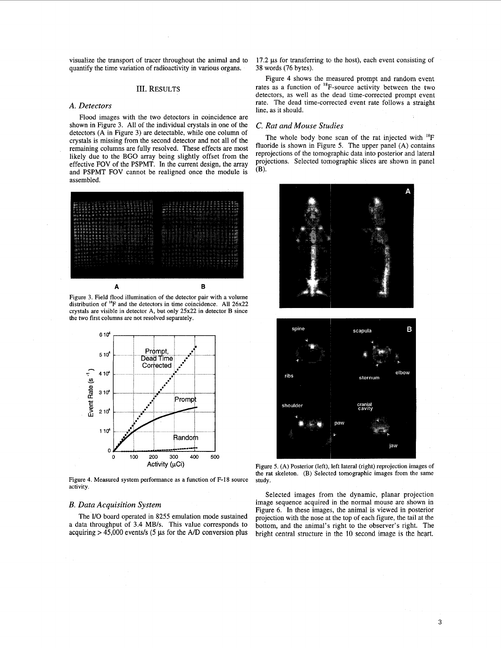visualize the transport of tracer throughout the animal and to quantify the time variation of radioactivity in various organs.

#### III. **RESULTS**

#### *A. Detectors*

Flood images with the two detectors in coincidence are shown in Figure **3. All** of the individual crystals in one of the detectors **(A** in Figure **3)** are detectable, while one column of crystals is missing from the second detector and not all of the remaining columns are fully resolved. These effects are most likely due to the BGO array being slightly offset from the effective FOV of the PSPMT. In the current design, the array and PSPMT FOV cannot be realigned once the module is assembled.



**Figure 3. Field** flood **illumination of the detector pair with a volume distribution of ''F and the detectors in time coincidence. All 26x22 crystals are visible in detector A, but only 25x22 in detector B since the two first columns are not resolved separately.** 



**Figure 4. Measured system performance as a function** of **F-18 source activity.** 

# *B. Data Acquisition System*

The I/O board operated in **8255** emulation mode sustained a data throughput of **3.4** MB/s. This value corresponds to acquiring  $> 45,000$  events/s (5  $\mu$ s for the A/D conversion plus **17.2 ps** for transferring to the host), each event consisting of **38** words (76 bytes).

Figure **4** shows the measured prompt and random event rates as a function of  ${}^{18}$ F-source activity between the two detectors, as well as the dead time-corrected prompt event rate. The dead time-corrected event rate follows a straight line, as it should.

# **C.** *Rat and Mouse Studies*

The whole body bone scan of the rat injected with  ${}^{18}F$ fluoride is shown in Figure 5. The upper panel **(A)** contains reprojections of the tomographic data into posterior and lateral projections. Selected tomographic slices are shown in panel **(B).** 





**Figure 5. (A) Posterior (left), left lateral (right) reprojection images of**  the rat skeleton. (B) Selected tomographic images from the same **study.** 

Selected images from the dynamic, planar projection image sequence acquired in the normal mouse are shown in [Figure](#page-4-0) **6.** In these images, the animal is viewed in posterior projection with the nose at the top of each figure, the tail at the bottom, and the animal's right to the observer's right. The bright central structure in the 10 second image **is** the heart.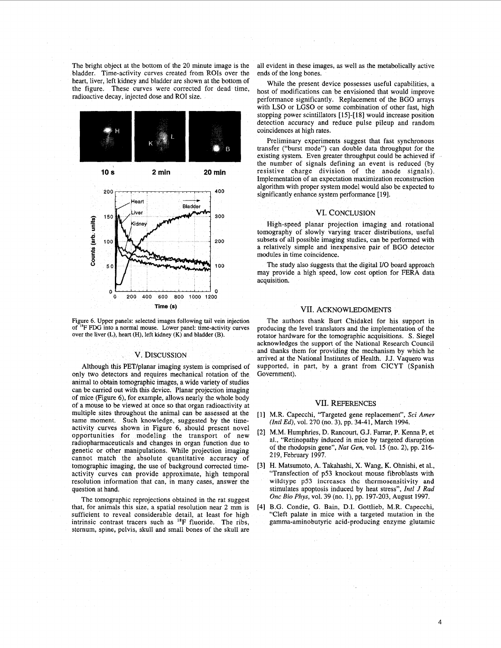<span id="page-4-0"></span>The bright object at the bottom of the 20 minute image is the bladder. Time-activity curves created from ROIs over the heart, liver, left kidney and bladder are shown at the bottom of the figure. These curves were corrected for dead time, radioactive decay, injected dose and ROI size.



Figure 6. Upper panels: selected images following tail vein injection<br>of <sup>18</sup>F FDG into a normal mouse. Lower panel: time-activity curves of **"F FDG** into a normal mouse. Lower panel: time-activity curves over the liver **(L),** heart (H), left kidney (K) and bladder (B).

#### V. DISCUSSION

Although this PET/planar imaging system is comprised of only two detectors and requires mechanical rotation of the animal to obtain tomographic images, a wide variety of studies can be carried out with this device. Planar projection imaging of mice (Figure 6), for example, allows nearly the whole body of a mouse to be viewed at once so that organ radioactivity at multiple sites throughout the animal can be assessed at the same moment. Such knowledge, suggested by the timeactivity curves shown in Figure 6, should present novel opportunities for modeling the transport of new radiopharmaceuticals and changes in organ function due to genetic or other manipulations. While projection imaging cannot match the absolute quantitative accuracy of tomographic imaging, the use of background corrected timeactivity curves can provide approximate, high temporal resolution information that can, in many cases, answer the question at hand.

The tomographic reprojections obtained in the rat suggest that, for animals this size, a spatial resolution near *2* mm is sufficient to reveal considerable detail, at least for high intrinsic contrast tracers such as 18F fluoride. The ribs, sternum, spine, pelvis, skull **and** small bones of the skull are all evident in these images, as well as the metabolically active ends of the long bones.

While the present device possesses useful capabilities, a host of modifications can be envisioned that would improve performance significantly. Replacement of the BGO arrays with LSO or LGSO or some combination of other fast, high stopping power scintillators [ 151-[ 181 would increase position detection accuracy and reduce pulse pileup and random coincidences at high rates.

Preliminary experiments suggest that fast synchronous transfer ("burst mode") can double data throughput for the existing system. Even greater throughput could be achieved if the number of signals defining an event is reduced (by resistive charge division of the anode signals). Implementation of an expectation maximization reconstruction algorithm with proper system model would also be expected to significantly enhance system performance [19].

# VI. CONCLUSION

High-speed planar projection imaging and rotational tomography of slowly varying tracer distributions, useful subsets of all possible imaging studies, can be performed with a relatively simple and inexpensive pair of BGO detector modules in time coincidence.

The study also suggests that the digital I/O board approach may provide a high speed, low cost option for FERA data acquisition.

### VII. ACKNOWLEDGMENTS

The authors thank Burt Chidakel for his support in producing the level translators and the implementation of the rotator hardware for the tomographic acquisitions. *S.* Siege1 acknowledges the support of the National Research Council and thanks them for providing the mechanism by which he arrived at the National Institutes of Health. J.J. Vaquero was supported, in part, by a grant from CICYT (Spanish Government).

#### VII. REFERENCES

- M.R. Capecchi, "Targeted gene replacement", *Sci Amer (Intl Ed)*, vol. 270 (no. 3), pp. 34-41, March 1994.
- M.M. Humphries, **D.** Rancourt, G.J. Farrar, **P.** Kenna P, et  $[2]$ al., "Retinopathy induced in mice by targeted disruption of the rhodopsin gene", *Nut Gen,* vol. 15 (no. 2), pp. 216- 219, February 1997.
- H. Matsumoto, A. Takahashi, X. Wang, **K.** Ohnishi, et al., "Transfection of p53 knockout mouse fibroblasts with wildtype **p53** increases the thermosensitivity and stimulates apoptosis induced by heat stress", *Intl J Rad Onc Bio Phys,* vol. 39 (no. l), pp. 197-203, August 1997.
- B.G. Condie, G. Bain, D.I. Gottlieb, M.R. Capecchi,  $[4]$ "Cleft palate in mice with a targeted mutation in the gamma-aminobutyric acid-producing enzyme glutamic